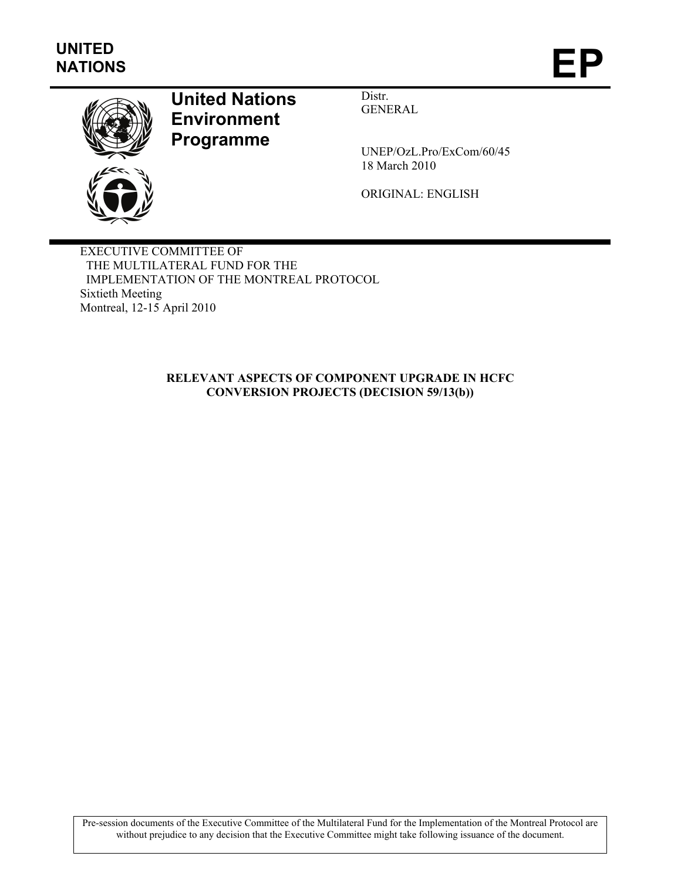

# **United Nations Environment Programme**

Distr. GENERAL

UNEP/OzL.Pro/ExCom/60/45 18 March 2010

ORIGINAL: ENGLISH

EXECUTIVE COMMITTEE OF THE MULTILATERAL FUND FOR THE IMPLEMENTATION OF THE MONTREAL PROTOCOL Sixtieth Meeting Montreal, 12-15 April 2010

#### **RELEVANT ASPECTS OF COMPONENT UPGRADE IN HCFC CONVERSION PROJECTS (DECISION 59/13(b))**

Pre-session documents of the Executive Committee of the Multilateral Fund for the Implementation of the Montreal Protocol are without prejudice to any decision that the Executive Committee might take following issuance of the document.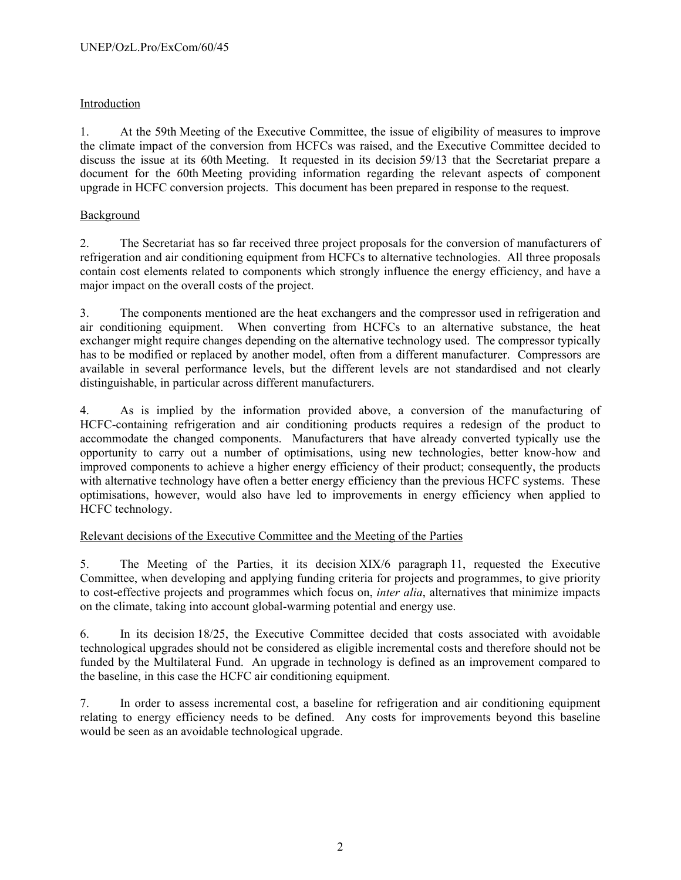## Introduction

1. At the 59th Meeting of the Executive Committee, the issue of eligibility of measures to improve the climate impact of the conversion from HCFCs was raised, and the Executive Committee decided to discuss the issue at its 60th Meeting. It requested in its decision 59/13 that the Secretariat prepare a document for the 60th Meeting providing information regarding the relevant aspects of component upgrade in HCFC conversion projects. This document has been prepared in response to the request.

### Background

2. The Secretariat has so far received three project proposals for the conversion of manufacturers of refrigeration and air conditioning equipment from HCFCs to alternative technologies. All three proposals contain cost elements related to components which strongly influence the energy efficiency, and have a major impact on the overall costs of the project.

3. The components mentioned are the heat exchangers and the compressor used in refrigeration and air conditioning equipment. When converting from HCFCs to an alternative substance, the heat exchanger might require changes depending on the alternative technology used. The compressor typically has to be modified or replaced by another model, often from a different manufacturer. Compressors are available in several performance levels, but the different levels are not standardised and not clearly distinguishable, in particular across different manufacturers.

4. As is implied by the information provided above, a conversion of the manufacturing of HCFC-containing refrigeration and air conditioning products requires a redesign of the product to accommodate the changed components. Manufacturers that have already converted typically use the opportunity to carry out a number of optimisations, using new technologies, better know-how and improved components to achieve a higher energy efficiency of their product; consequently, the products with alternative technology have often a better energy efficiency than the previous HCFC systems. These optimisations, however, would also have led to improvements in energy efficiency when applied to HCFC technology.

### Relevant decisions of the Executive Committee and the Meeting of the Parties

5. The Meeting of the Parties, it its decision XIX/6 paragraph 11, requested the Executive Committee, when developing and applying funding criteria for projects and programmes, to give priority to cost-effective projects and programmes which focus on, *inter alia*, alternatives that minimize impacts on the climate, taking into account global-warming potential and energy use.

6. In its decision 18/25, the Executive Committee decided that costs associated with avoidable technological upgrades should not be considered as eligible incremental costs and therefore should not be funded by the Multilateral Fund. An upgrade in technology is defined as an improvement compared to the baseline, in this case the HCFC air conditioning equipment.

7. In order to assess incremental cost, a baseline for refrigeration and air conditioning equipment relating to energy efficiency needs to be defined. Any costs for improvements beyond this baseline would be seen as an avoidable technological upgrade.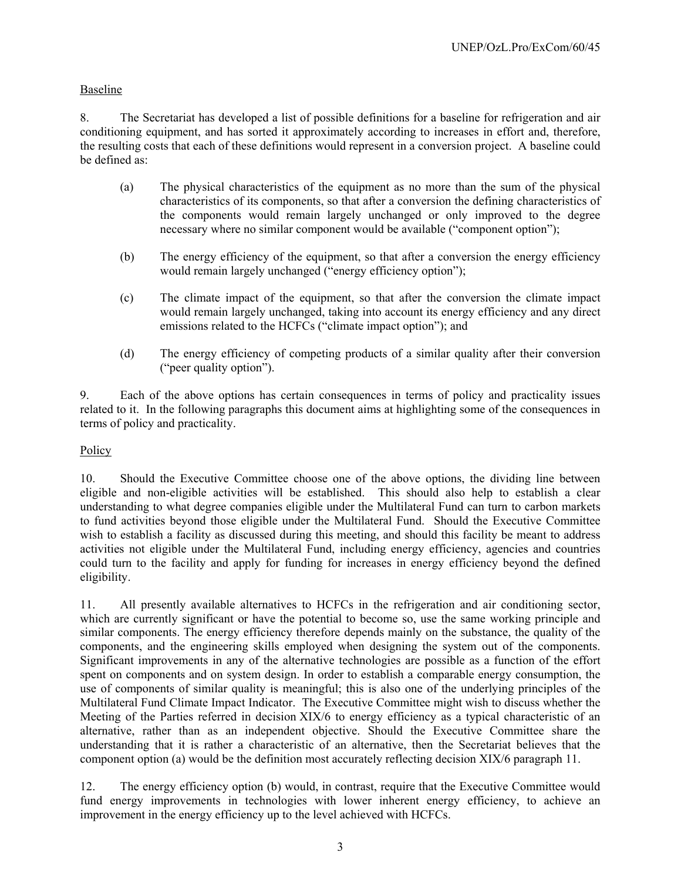## Baseline

8. The Secretariat has developed a list of possible definitions for a baseline for refrigeration and air conditioning equipment, and has sorted it approximately according to increases in effort and, therefore, the resulting costs that each of these definitions would represent in a conversion project. A baseline could be defined as:

- (a) The physical characteristics of the equipment as no more than the sum of the physical characteristics of its components, so that after a conversion the defining characteristics of the components would remain largely unchanged or only improved to the degree necessary where no similar component would be available ("component option");
- (b) The energy efficiency of the equipment, so that after a conversion the energy efficiency would remain largely unchanged ("energy efficiency option");
- (c) The climate impact of the equipment, so that after the conversion the climate impact would remain largely unchanged, taking into account its energy efficiency and any direct emissions related to the HCFCs ("climate impact option"); and
- (d) The energy efficiency of competing products of a similar quality after their conversion ("peer quality option").

9. Each of the above options has certain consequences in terms of policy and practicality issues related to it. In the following paragraphs this document aims at highlighting some of the consequences in terms of policy and practicality.

### Policy

10. Should the Executive Committee choose one of the above options, the dividing line between eligible and non-eligible activities will be established. This should also help to establish a clear understanding to what degree companies eligible under the Multilateral Fund can turn to carbon markets to fund activities beyond those eligible under the Multilateral Fund. Should the Executive Committee wish to establish a facility as discussed during this meeting, and should this facility be meant to address activities not eligible under the Multilateral Fund, including energy efficiency, agencies and countries could turn to the facility and apply for funding for increases in energy efficiency beyond the defined eligibility.

11. All presently available alternatives to HCFCs in the refrigeration and air conditioning sector, which are currently significant or have the potential to become so, use the same working principle and similar components. The energy efficiency therefore depends mainly on the substance, the quality of the components, and the engineering skills employed when designing the system out of the components. Significant improvements in any of the alternative technologies are possible as a function of the effort spent on components and on system design. In order to establish a comparable energy consumption, the use of components of similar quality is meaningful; this is also one of the underlying principles of the Multilateral Fund Climate Impact Indicator. The Executive Committee might wish to discuss whether the Meeting of the Parties referred in decision XIX/6 to energy efficiency as a typical characteristic of an alternative, rather than as an independent objective. Should the Executive Committee share the understanding that it is rather a characteristic of an alternative, then the Secretariat believes that the component option (a) would be the definition most accurately reflecting decision XIX/6 paragraph 11.

12. The energy efficiency option (b) would, in contrast, require that the Executive Committee would fund energy improvements in technologies with lower inherent energy efficiency, to achieve an improvement in the energy efficiency up to the level achieved with HCFCs.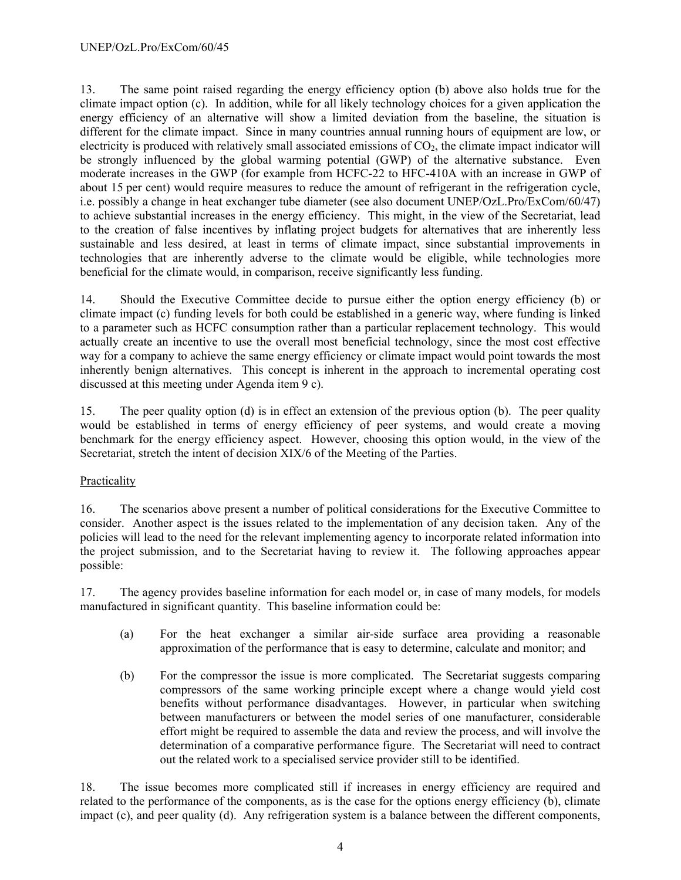13. The same point raised regarding the energy efficiency option (b) above also holds true for the climate impact option (c). In addition, while for all likely technology choices for a given application the energy efficiency of an alternative will show a limited deviation from the baseline, the situation is different for the climate impact. Since in many countries annual running hours of equipment are low, or electricity is produced with relatively small associated emissions of  $CO<sub>2</sub>$ , the climate impact indicator will be strongly influenced by the global warming potential (GWP) of the alternative substance. Even moderate increases in the GWP (for example from HCFC-22 to HFC-410A with an increase in GWP of about 15 per cent) would require measures to reduce the amount of refrigerant in the refrigeration cycle, i.e. possibly a change in heat exchanger tube diameter (see also document UNEP/OzL.Pro/ExCom/60/47) to achieve substantial increases in the energy efficiency. This might, in the view of the Secretariat, lead to the creation of false incentives by inflating project budgets for alternatives that are inherently less sustainable and less desired, at least in terms of climate impact, since substantial improvements in technologies that are inherently adverse to the climate would be eligible, while technologies more beneficial for the climate would, in comparison, receive significantly less funding.

14. Should the Executive Committee decide to pursue either the option energy efficiency (b) or climate impact (c) funding levels for both could be established in a generic way, where funding is linked to a parameter such as HCFC consumption rather than a particular replacement technology. This would actually create an incentive to use the overall most beneficial technology, since the most cost effective way for a company to achieve the same energy efficiency or climate impact would point towards the most inherently benign alternatives. This concept is inherent in the approach to incremental operating cost discussed at this meeting under Agenda item 9 c).

15. The peer quality option (d) is in effect an extension of the previous option (b). The peer quality would be established in terms of energy efficiency of peer systems, and would create a moving benchmark for the energy efficiency aspect. However, choosing this option would, in the view of the Secretariat, stretch the intent of decision XIX/6 of the Meeting of the Parties.

#### Practicality

16. The scenarios above present a number of political considerations for the Executive Committee to consider. Another aspect is the issues related to the implementation of any decision taken. Any of the policies will lead to the need for the relevant implementing agency to incorporate related information into the project submission, and to the Secretariat having to review it. The following approaches appear possible:

17. The agency provides baseline information for each model or, in case of many models, for models manufactured in significant quantity. This baseline information could be:

- (a) For the heat exchanger a similar air-side surface area providing a reasonable approximation of the performance that is easy to determine, calculate and monitor; and
- (b) For the compressor the issue is more complicated. The Secretariat suggests comparing compressors of the same working principle except where a change would yield cost benefits without performance disadvantages. However, in particular when switching between manufacturers or between the model series of one manufacturer, considerable effort might be required to assemble the data and review the process, and will involve the determination of a comparative performance figure. The Secretariat will need to contract out the related work to a specialised service provider still to be identified.

18. The issue becomes more complicated still if increases in energy efficiency are required and related to the performance of the components, as is the case for the options energy efficiency (b), climate impact (c), and peer quality (d). Any refrigeration system is a balance between the different components,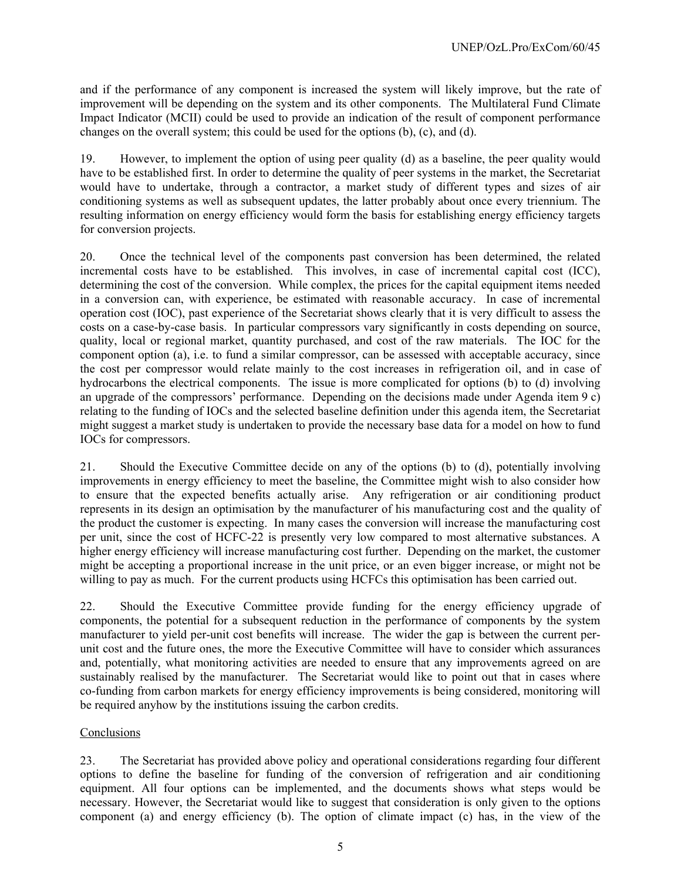and if the performance of any component is increased the system will likely improve, but the rate of improvement will be depending on the system and its other components. The Multilateral Fund Climate Impact Indicator (MCII) could be used to provide an indication of the result of component performance changes on the overall system; this could be used for the options (b), (c), and (d).

19. However, to implement the option of using peer quality (d) as a baseline, the peer quality would have to be established first. In order to determine the quality of peer systems in the market, the Secretariat would have to undertake, through a contractor, a market study of different types and sizes of air conditioning systems as well as subsequent updates, the latter probably about once every triennium. The resulting information on energy efficiency would form the basis for establishing energy efficiency targets for conversion projects.

20. Once the technical level of the components past conversion has been determined, the related incremental costs have to be established. This involves, in case of incremental capital cost (ICC), determining the cost of the conversion. While complex, the prices for the capital equipment items needed in a conversion can, with experience, be estimated with reasonable accuracy. In case of incremental operation cost (IOC), past experience of the Secretariat shows clearly that it is very difficult to assess the costs on a case-by-case basis. In particular compressors vary significantly in costs depending on source, quality, local or regional market, quantity purchased, and cost of the raw materials. The IOC for the component option (a), i.e. to fund a similar compressor, can be assessed with acceptable accuracy, since the cost per compressor would relate mainly to the cost increases in refrigeration oil, and in case of hydrocarbons the electrical components. The issue is more complicated for options (b) to (d) involving an upgrade of the compressors' performance. Depending on the decisions made under Agenda item 9 c) relating to the funding of IOCs and the selected baseline definition under this agenda item, the Secretariat might suggest a market study is undertaken to provide the necessary base data for a model on how to fund IOCs for compressors.

21. Should the Executive Committee decide on any of the options (b) to (d), potentially involving improvements in energy efficiency to meet the baseline, the Committee might wish to also consider how to ensure that the expected benefits actually arise. Any refrigeration or air conditioning product represents in its design an optimisation by the manufacturer of his manufacturing cost and the quality of the product the customer is expecting. In many cases the conversion will increase the manufacturing cost per unit, since the cost of HCFC-22 is presently very low compared to most alternative substances. A higher energy efficiency will increase manufacturing cost further. Depending on the market, the customer might be accepting a proportional increase in the unit price, or an even bigger increase, or might not be willing to pay as much. For the current products using HCFCs this optimisation has been carried out.

22. Should the Executive Committee provide funding for the energy efficiency upgrade of components, the potential for a subsequent reduction in the performance of components by the system manufacturer to yield per-unit cost benefits will increase. The wider the gap is between the current perunit cost and the future ones, the more the Executive Committee will have to consider which assurances and, potentially, what monitoring activities are needed to ensure that any improvements agreed on are sustainably realised by the manufacturer. The Secretariat would like to point out that in cases where co-funding from carbon markets for energy efficiency improvements is being considered, monitoring will be required anyhow by the institutions issuing the carbon credits.

### Conclusions

23. The Secretariat has provided above policy and operational considerations regarding four different options to define the baseline for funding of the conversion of refrigeration and air conditioning equipment. All four options can be implemented, and the documents shows what steps would be necessary. However, the Secretariat would like to suggest that consideration is only given to the options component (a) and energy efficiency (b). The option of climate impact (c) has, in the view of the